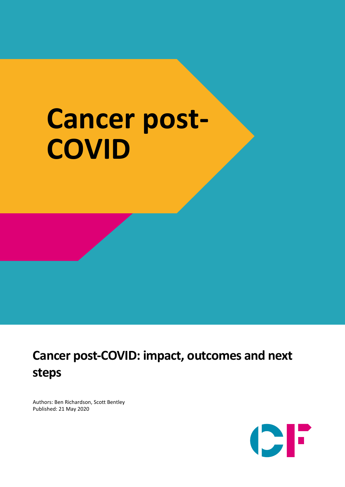# **Cancer post-COVID**

## **Cancer post-COVID: impact, outcomes and next steps**

Authors: Ben Richardson, Scott Bentley Published: 21 May 2020

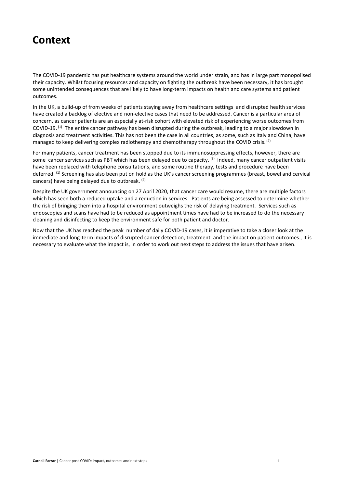## **Context**

The COVID-19 pandemic has put healthcare systems around the world under strain, and has in large part monopolised their capacity. Whilst focusing resources and capacity on fighting the outbreak have been necessary, it has brought some unintended consequences that are likely to have long-term impacts on health and care systems and patient outcomes.

In the UK, a build-up of from weeks of patients staying away from healthcare settings and disrupted health services have created a backlog of elective and non-elective cases that need to be addressed. Cancer is a particular area of concern, as cancer patients are an especially at-risk cohort with elevated risk of experiencing worse outcomes from COVID-19.<sup>(1)</sup> The entire cancer pathway has been disrupted during the outbreak, leading to a major slowdown in diagnosis and treatment activities. This has not been the case in all countries, as some, such as Italy and China, have managed to keep delivering complex radiotherapy and chemotherapy throughout the COVID crisis.<sup>[2]</sup>

For many patients, cancer treatment has been stopped due to its immunosuppressing effects, however, there are some cancer services such as PBT which has been delayed due to capacity. <sup>(3)</sup> Indeed, many cancer outpatient visits have been replaced with telephone consultations, and some routine therapy, tests and procedure have been deferred. (1) Screening has also been put on hold as the UK's cancer screening programmes (breast, bowel and cervical cancers) have being delayed due to outbreak. (4)

Despite the UK government announcing on 27 April 2020, that cancer care would resume, there are multiple factors which has seen both a reduced uptake and a reduction in services. Patients are being assessed to determine whether the risk of bringing them into a hospital environment outweighs the risk of delaying treatment. Services such as endoscopies and scans have had to be reduced as appointment times have had to be increased to do the necessary cleaning and disinfecting to keep the environment safe for both patient and doctor.

Now that the UK has reached the peak number of daily COVID-19 cases, it is imperative to take a closer look at the immediate and long-term impacts of disrupted cancer detection, treatment and the impact on patient outcomes., It is necessary to evaluate what the impact is, in order to work out next steps to address the issues that have arisen.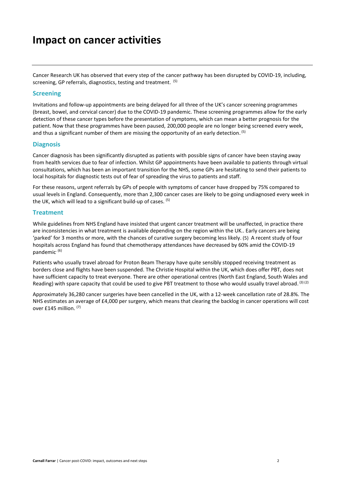### **Impact on cancer activities**

Cancer Research UK has observed that every step of the cancer pathway has been disrupted by COVID-19, including, screening, GP referrals, diagnostics, testing and treatment. (5)

#### **Screening**

Invitations and follow-up appointments are being delayed for all three of the UK's cancer screening programmes (breast, bowel, and cervical cancer) due to the COVID-19 pandemic. These screening programmes allow for the early detection of these cancer types before the presentation of symptoms, which can mean a better prognosis for the patient. Now that these programmes have been paused, 200,000 people are no longer being screened every week, and thus a significant number of them are missing the opportunity of an early detection. <sup>(5)</sup>

#### **Diagnosis**

Cancer diagnosis has been significantly disrupted as patients with possible signs of cancer have been staying away from health services due to fear of infection. Whilst GP appointments have been available to patients through virtual consultations, which has been an important transition for the NHS, some GPs are hesitating to send their patients to local hospitals for diagnostic tests out of fear of spreading the virus to patients and staff.

For these reasons, urgent referrals by GPs of people with symptoms of cancer have dropped by 75% compared to usual levels in England. Consequently, more than 2,300 cancer cases are likely to be going undiagnosed every week in the UK, which will lead to a significant build-up of cases. (5)

#### **Treatment**

While guidelines from NHS England have insisted that urgent cancer treatment will be unaffected, in practice there are inconsistencies in what treatment is available depending on the region within the UK.. Early cancers are being 'parked' for 3 months or more, with the chances of curative surgery becoming less likely. (5) A recent study of four hospitals across England has found that chemotherapy attendances have decreased by 60% amid the COVID-19 pandemic. (6)

Patients who usually travel abroad for Proton Beam Therapy have quite sensibly stopped receiving treatment as borders close and flights have been suspended. The Christie Hospital within the UK, which does offer PBT, does not have sufficient capacity to treat everyone. There are other operational centres (North East England, South Wales and Reading) with spare capacity that could be used to give PBT treatment to those who would usually travel abroad. (3) (2)

Approximately 36,280 cancer surgeries have been cancelled in the UK, with a 12-week cancellation rate of 28.8%. The NHS estimates an average of £4,000 per surgery, which means that clearing the backlog in cancer operations will cost over £145 million. (7)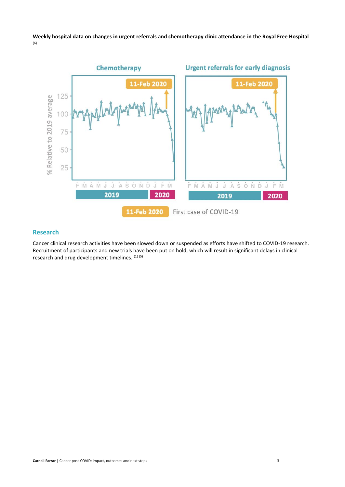#### **Weekly hospital data on changes in urgent referrals and chemotherapy clinic attendance in the Royal Free Hospital** (6)



#### **Research**

Cancer clinical research activities have been slowed down or suspended as efforts have shifted to COVID-19 research. Recruitment of participants and new trials have been put on hold, which will result in significant delays in clinical research and drug development timelines.  $(1)(5)$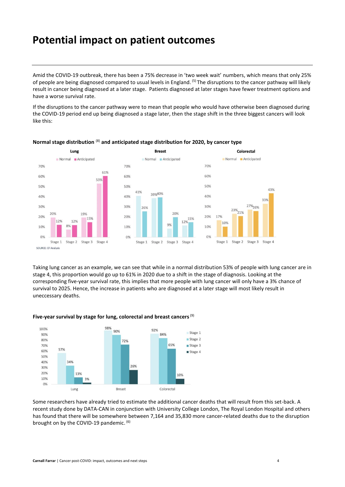## **Potential impact on patient outcomes**

Amid the COVID-19 outbreak, there has been a 75% decrease in 'two week wait' numbers, which means that only 25% of people are being diagnosed compared to usual levels in England. (5) The disruptions to the cancer pathway will likely result in cancer being diagnosed at a later stage. Patients diagnosed at later stages have fewer treatment options and have a worse survival rate.

If the disruptions to the cancer pathway were to mean that people who would have otherwise been diagnosed during the COVID-19 period end up being diagnosed a stage later, then the stage shift in the three biggest cancers will look like this:



#### **Normal stage distribution** (8) **and anticipated stage distribution for 2020, by cancer type**

Taking lung cancer as an example, we can see that while in a normal distribution 53% of people with lung cancer are in stage 4, this proportion would go up to 61% in 2020 due to a shift in the stage of diagnosis. Looking at the corresponding five-year survival rate, this implies that more people with lung cancer will only have a 3% chance of survival to 2025. Hence, the increase in patients who are diagnosed at a later stage will most likely result in uneccessary deaths.



#### **Five-year survival by stage for lung, colorectal and breast cancers**(9)

Some researchers have already tried to estimate the additional cancer deaths that will result from this set-back. A recent study done by DATA-CAN in conjunction with University College London, The Royal London Hospital and others has found that there will be somewhere between 7,164 and 35,830 more cancer-related deaths due to the disruption brought on by the COVID-19 pandemic. (6)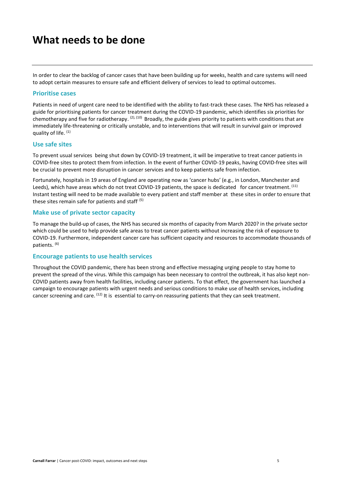## **What needs to be done**

In order to clear the backlog of cancer cases that have been building up for weeks, health and care systems will need to adopt certain measures to ensure safe and efficient delivery of services to lead to optimal outcomes.

#### **Prioritise cases**

Patients in need of urgent care need to be identified with the ability to fast-track these cases. The NHS has released a guide for prioritising patients for cancer treatment during the COVID-19 pandemic, which identifies six priorities for chemotherapy and five for radiotherapy. <sup>(2), (10)</sup> Broadly, the guide gives priority to patients with conditions that are immediately life-threatening or critically unstable, and to interventions that will result in survival gain or improved quality of life. (1)

#### **Use safe sites**

To prevent usual services being shut down by COVID-19 treatment, it will be imperative to treat cancer patients in COVID-free sites to protect them from infection. In the event of further COVID-19 peaks, having COVID-free sites will be crucial to prevent more disruption in cancer services and to keep patients safe from infection.

Fortunately, hospitals in 19 areas of England are operating now as 'cancer hubs' (e.g., in London, Manchester and Leeds), which have areas which do not treat COVID-19 patients, the space is dedicated for cancer treatment. <sup>(11)</sup> Instant testing will need to be made available to every patient and staff member at these sites in order to ensure that these sites remain safe for patients and staff. (5)

#### **Make use of private sector capacity**

To manage the build-up of cases, the NHS has secured six months of capacity from March 2020? in the private sector which could be used to help provide safe areas to treat cancer patients without increasing the risk of exposure to COVID-19. Furthermore, independent cancer care has sufficient capacity and resources to accommodate thousands of patients. (6)

#### **Encourage patients to use health services**

Throughout the COVID pandemic, there has been strong and effective messaging urging people to stay home to prevent the spread of the virus. While this campaign has been necessary to control the outbreak, it has also kept non-COVID patients away from health facilities, including cancer patients. To that effect, the government has launched a campaign to encourage patients with urgent needs and serious conditions to make use of health services, including cancer screening and care.  $^{(12)}$  It is essential to carry-on reassuring patients that they can seek treatment.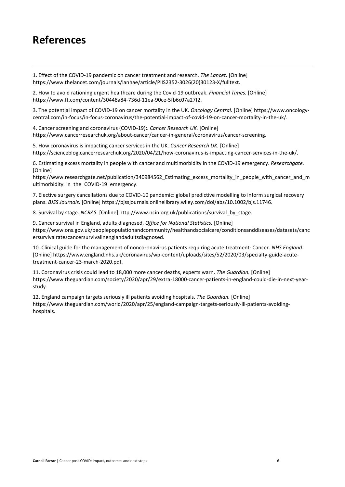## **References**

1. Effect of the COVID-19 pandemic on cancer treatment and research. *The Lancet.* [Online] https://www.thelancet.com/journals/lanhae/article/PIIS2352-3026(20)30123-X/fulltext.

2. How to avoid rationing urgent healthcare during the Covid-19 outbreak. *Financial Times.* [Online] https://www.ft.com/content/30448a84-736d-11ea-90ce-5fb6c07a27f2.

3. The potential impact of COVID-19 on cancer mortality in the UK. *Oncology Central.* [Online] https://www.oncologycentral.com/in-focus/in-focus-coronavirus/the-potential-impact-of-covid-19-on-cancer-mortality-in-the-uk/.

4. Cancer screening and coronavirus (COVID-19):. *Cancer Research UK.* [Online] https://www.cancerresearchuk.org/about-cancer/cancer-in-general/coronavirus/cancer-screening.

5. How coronavirus is impacting cancer services in the UK. *Cancer Research UK.* [Online] https://scienceblog.cancerresearchuk.org/2020/04/21/how-coronavirus-is-impacting-cancer-services-in-the-uk/.

6. Estimating excess mortality in people with cancer and multimorbidity in the COVID-19 emergency. *Researchgate.*  [Online]

https://www.researchgate.net/publication/340984562\_Estimating\_excess\_mortality\_in\_people\_with\_cancer\_and\_m ultimorbidity\_in\_the\_COVID-19\_emergency.

7. Elective surgery cancellations due to COVID-10 pandemic: global predictive modelling to inform surgical recovery plans. *BJSS Journals.* [Online] https://bjssjournals.onlinelibrary.wiley.com/doi/abs/10.1002/bjs.11746.

8. Survival by stage. *NCRAS.* [Online] http://www.ncin.org.uk/publications/survival\_by\_stage.

9. Cancer survival in England, adults diagnosed. *Office for National Statistics.* [Online] https://www.ons.gov.uk/peoplepopulationandcommunity/healthandsocialcare/conditionsanddiseases/datasets/canc ersurvivalratescancersurvivalinenglandadultsdiagnosed.

10. Clinical guide for the management of noncoronavirus patients requiring acute treatment: Cancer. *NHS England.*  [Online] https://www.england.nhs.uk/coronavirus/wp-content/uploads/sites/52/2020/03/specialty-guide-acutetreatment-cancer-23-march-2020.pdf.

11. Coronavirus crisis could lead to 18,000 more cancer deaths, experts warn. *The Guardian.* [Online] https://www.theguardian.com/society/2020/apr/29/extra-18000-cancer-patients-in-england-could-die-in-next-yearstudy.

12. England campaign targets seriously ill patients avoiding hospitals. *The Guardian.* [Online] https://www.theguardian.com/world/2020/apr/25/england-campaign-targets-seriously-ill-patients-avoidinghospitals.